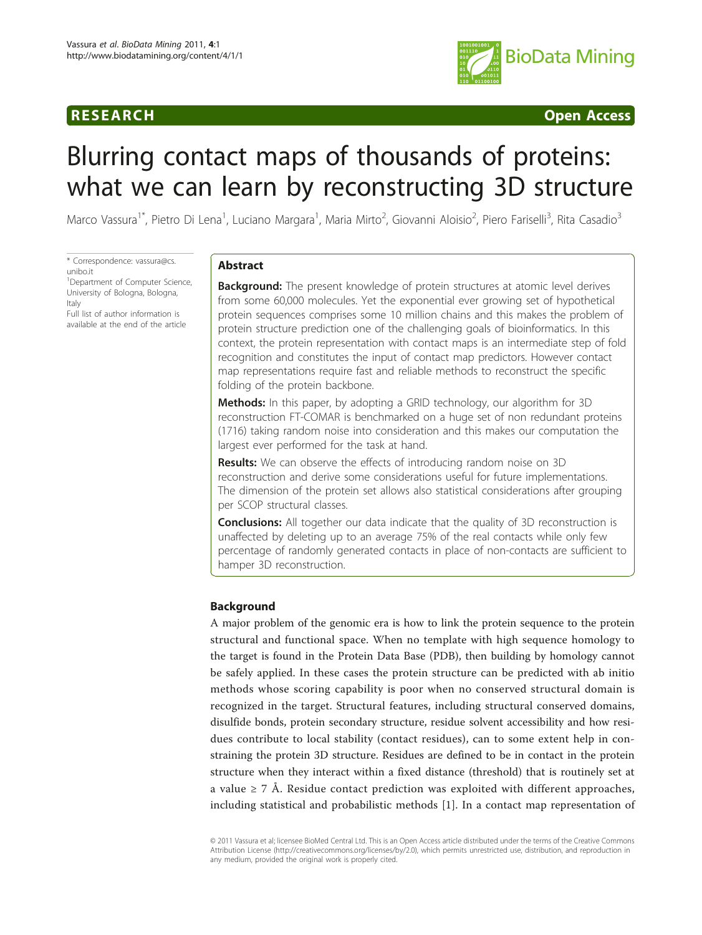

# **RESEARCH CONSTRUCTION CONSTRUCTS**

# Blurring contact maps of thousands of proteins: what we can learn by reconstructing 3D structure

Marco Vassura<sup>1\*</sup>, Pietro Di Lena<sup>1</sup>, Luciano Margara<sup>1</sup>, Maria Mirto<sup>2</sup>, Giovanni Aloisio<sup>2</sup>, Piero Fariselli<sup>3</sup>, Rita Casadio<sup>3</sup>

\* Correspondence: [vassura@cs.](mailto:vassura@cs.unibo.it) [unibo.it](mailto:vassura@cs.unibo.it)

<sup>1</sup>Department of Computer Science, University of Bologna, Bologna, Italy

Full list of author information is available at the end of the article

# Abstract

**Background:** The present knowledge of protein structures at atomic level derives from some 60,000 molecules. Yet the exponential ever growing set of hypothetical protein sequences comprises some 10 million chains and this makes the problem of protein structure prediction one of the challenging goals of bioinformatics. In this context, the protein representation with contact maps is an intermediate step of fold recognition and constitutes the input of contact map predictors. However contact map representations require fast and reliable methods to reconstruct the specific folding of the protein backbone.

Methods: In this paper, by adopting a GRID technology, our algorithm for 3D reconstruction FT-COMAR is benchmarked on a huge set of non redundant proteins (1716) taking random noise into consideration and this makes our computation the largest ever performed for the task at hand.

Results: We can observe the effects of introducing random noise on 3D reconstruction and derive some considerations useful for future implementations. The dimension of the protein set allows also statistical considerations after grouping per SCOP structural classes.

**Conclusions:** All together our data indicate that the quality of 3D reconstruction is unaffected by deleting up to an average 75% of the real contacts while only few percentage of randomly generated contacts in place of non-contacts are sufficient to hamper 3D reconstruction.

# Background

A major problem of the genomic era is how to link the protein sequence to the protein structural and functional space. When no template with high sequence homology to the target is found in the Protein Data Base (PDB), then building by homology cannot be safely applied. In these cases the protein structure can be predicted with ab initio methods whose scoring capability is poor when no conserved structural domain is recognized in the target. Structural features, including structural conserved domains, disulfide bonds, protein secondary structure, residue solvent accessibility and how residues contribute to local stability (contact residues), can to some extent help in constraining the protein 3D structure. Residues are defined to be in contact in the protein structure when they interact within a fixed distance (threshold) that is routinely set at a value  $\geq$  7 Å. Residue contact prediction was exploited with different approaches, including statistical and probabilistic methods [\[1](#page-13-0)]. In a contact map representation of

© 2011 Vassura et al; licensee BioMed Central Ltd. This is an Open Access article distributed under the terms of the Creative Commons Attribution License [\(http://creativecommons.org/licenses/by/2.0](http://creativecommons.org/licenses/by/2.0)), which permits unrestricted use, distribution, and reproduction in any medium, provided the original work is properly cited.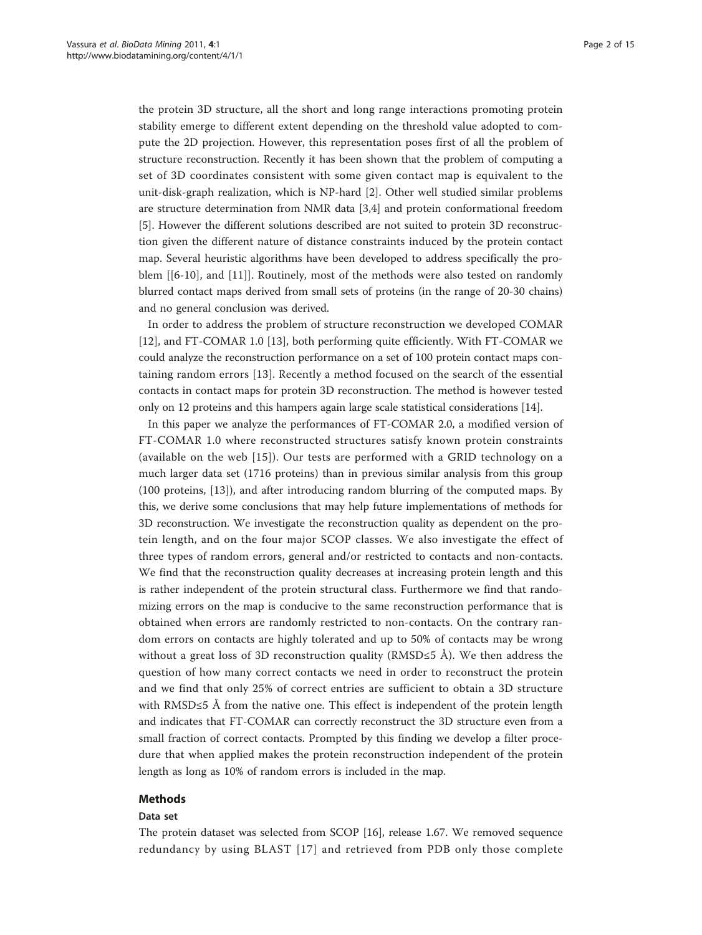the protein 3D structure, all the short and long range interactions promoting protein stability emerge to different extent depending on the threshold value adopted to compute the 2D projection. However, this representation poses first of all the problem of structure reconstruction. Recently it has been shown that the problem of computing a set of 3D coordinates consistent with some given contact map is equivalent to the unit-disk-graph realization, which is NP-hard [\[2](#page-13-0)]. Other well studied similar problems are structure determination from NMR data [[3,4\]](#page-13-0) and protein conformational freedom [[5\]](#page-13-0). However the different solutions described are not suited to protein 3D reconstruction given the different nature of distance constraints induced by the protein contact map. Several heuristic algorithms have been developed to address specifically the problem [[[6-10](#page-13-0)], and [[11\]](#page-13-0)]. Routinely, most of the methods were also tested on randomly blurred contact maps derived from small sets of proteins (in the range of 20-30 chains) and no general conclusion was derived.

In order to address the problem of structure reconstruction we developed COMAR [[12\]](#page-13-0), and FT-COMAR 1.0 [[13\]](#page-14-0), both performing quite efficiently. With FT-COMAR we could analyze the reconstruction performance on a set of 100 protein contact maps containing random errors [[13\]](#page-14-0). Recently a method focused on the search of the essential contacts in contact maps for protein 3D reconstruction. The method is however tested only on 12 proteins and this hampers again large scale statistical considerations [[14](#page-14-0)].

In this paper we analyze the performances of FT-COMAR 2.0, a modified version of FT-COMAR 1.0 where reconstructed structures satisfy known protein constraints (available on the web [\[15\]](#page-14-0)). Our tests are performed with a GRID technology on a much larger data set (1716 proteins) than in previous similar analysis from this group (100 proteins, [[13](#page-14-0)]), and after introducing random blurring of the computed maps. By this, we derive some conclusions that may help future implementations of methods for 3D reconstruction. We investigate the reconstruction quality as dependent on the protein length, and on the four major SCOP classes. We also investigate the effect of three types of random errors, general and/or restricted to contacts and non-contacts. We find that the reconstruction quality decreases at increasing protein length and this is rather independent of the protein structural class. Furthermore we find that randomizing errors on the map is conducive to the same reconstruction performance that is obtained when errors are randomly restricted to non-contacts. On the contrary random errors on contacts are highly tolerated and up to 50% of contacts may be wrong without a great loss of 3D reconstruction quality (RMSD≤5 Å). We then address the question of how many correct contacts we need in order to reconstruct the protein and we find that only 25% of correct entries are sufficient to obtain a 3D structure with RMSD≤5 Å from the native one. This effect is independent of the protein length and indicates that FT-COMAR can correctly reconstruct the 3D structure even from a small fraction of correct contacts. Prompted by this finding we develop a filter procedure that when applied makes the protein reconstruction independent of the protein length as long as 10% of random errors is included in the map.

#### Methods

#### Data set

The protein dataset was selected from SCOP [\[16](#page-14-0)], release 1.67. We removed sequence redundancy by using BLAST [[17\]](#page-14-0) and retrieved from PDB only those complete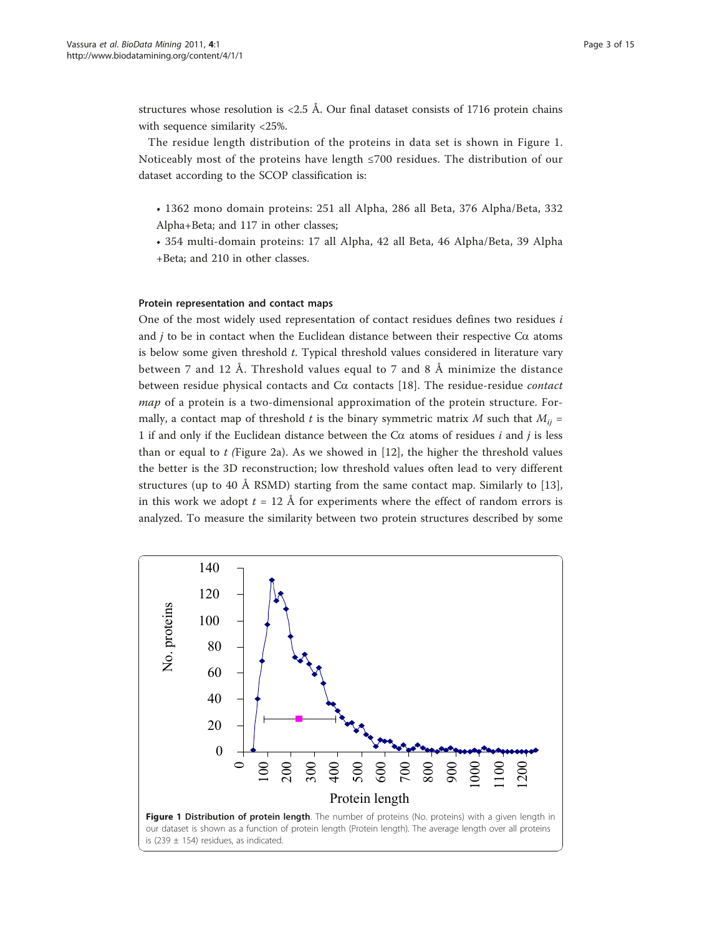structures whose resolution is  $\langle 2.5 \text{ Å}$ . Our final dataset consists of 1716 protein chains with sequence similarity <25%.

The residue length distribution of the proteins in data set is shown in Figure 1. Noticeably most of the proteins have length ≤700 residues. The distribution of our dataset according to the SCOP classification is:

- 1362 mono domain proteins: 251 all Alpha, 286 all Beta, 376 Alpha/Beta, 332 Alpha+Beta; and 117 in other classes;
- 354 multi-domain proteins: 17 all Alpha, 42 all Beta, 46 Alpha/Beta, 39 Alpha +Beta; and 210 in other classes.

#### Protein representation and contact maps

One of the most widely used representation of contact residues defines two residues i and *j* to be in contact when the Euclidean distance between their respective  $Ca$  atoms is below some given threshold  $t$ . Typical threshold values considered in literature vary between 7 and 12 Å. Threshold values equal to 7 and 8 Å minimize the distance between residue physical contacts and  $Ca$  contacts [[18](#page-14-0)]. The residue-residue *contact* map of a protein is a two-dimensional approximation of the protein structure. Formally, a contact map of threshold t is the binary symmetric matrix M such that  $M_{ij} =$ 1 if and only if the Euclidean distance between the  $C\alpha$  atoms of residues i and j is less than or equal to  $t$  (Figure [2a](#page-3-0)). As we showed in [[12\]](#page-13-0), the higher the threshold values the better is the 3D reconstruction; low threshold values often lead to very different structures (up to 40 Å RSMD) starting from the same contact map. Similarly to [\[13](#page-14-0)], in this work we adopt  $t = 12$  Å for experiments where the effect of random errors is analyzed. To measure the similarity between two protein structures described by some

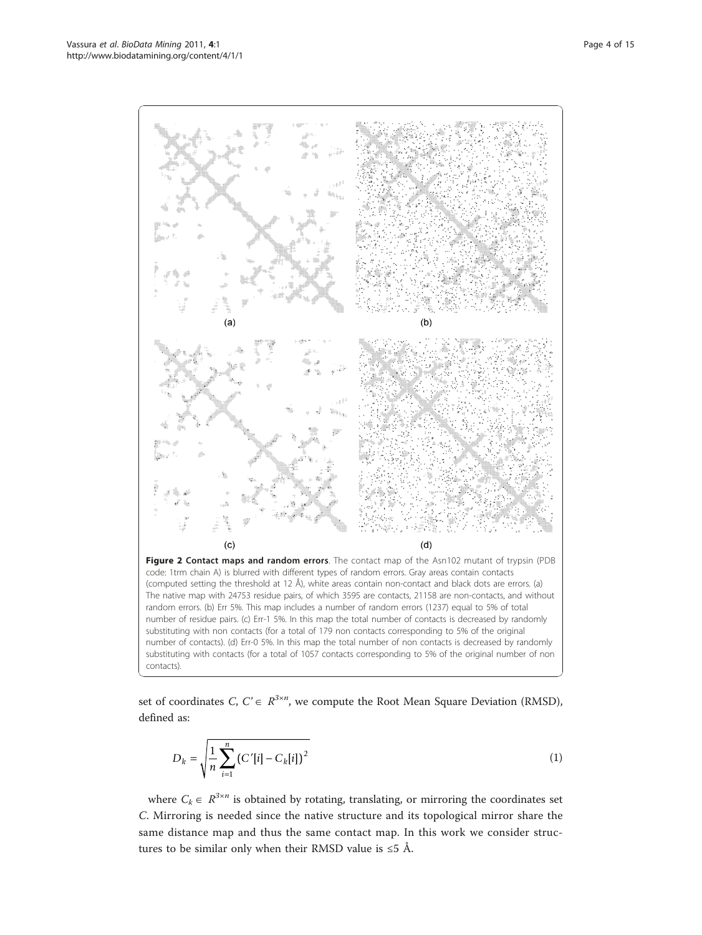<span id="page-3-0"></span>

set of coordinates  $C, C \in \mathbb{R}^{3 \times n}$ , we compute the Root Mean Square Deviation (RMSD), defined as:

$$
D_k = \sqrt{\frac{1}{n} \sum_{i=1}^{n} (C'[i] - C_k[i])^2}
$$
 (1)

where  $C_k \in \mathbb{R}^{3 \times n}$  is obtained by rotating, translating, or mirroring the coordinates set C. Mirroring is needed since the native structure and its topological mirror share the same distance map and thus the same contact map. In this work we consider structures to be similar only when their RMSD value is  $\leq 5$  Å.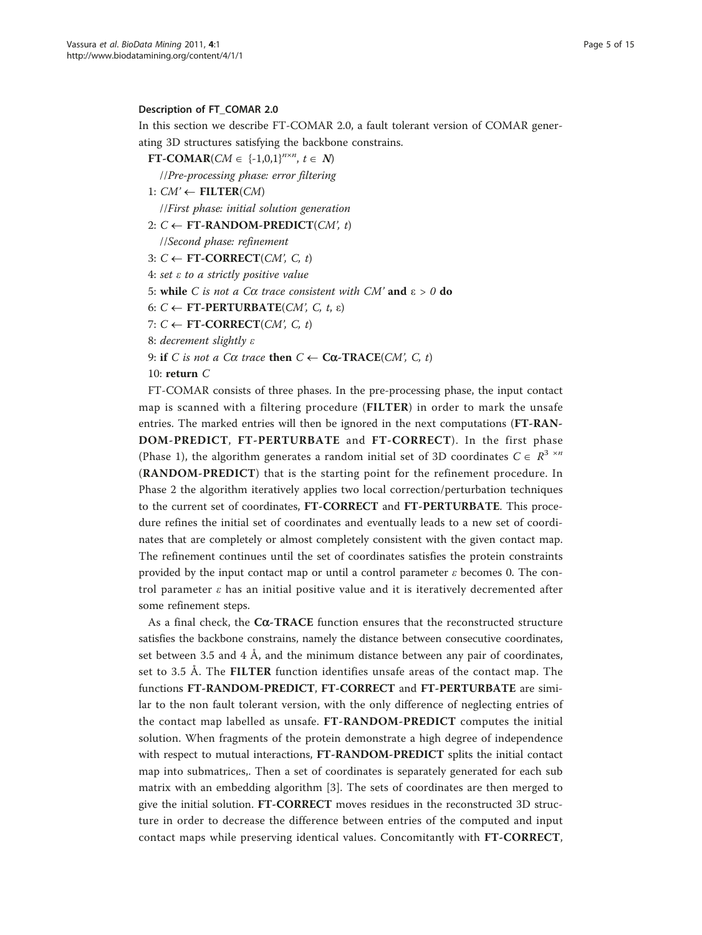#### Description of FT\_COMAR 2.0

In this section we describe FT-COMAR 2.0, a fault tolerant version of COMAR generating 3D structures satisfying the backbone constrains.

FT-COMAR(CM  $\in$  {-1,0,1}<sup>n×n</sup>, t  $\in$  N)

//Pre-processing phase: error filtering

1:  $CM' \leftarrow$  FILTER(CM)

//First phase: initial solution generation

2:  $C \leftarrow \text{FT-RANDOM-PREDICT}(CM, t)$ 

//Second phase: refinement

- 3:  $C \leftarrow \text{FT-CORRECT}(CM, C, t)$
- 4: set ε to a strictly positive value

5: while *C* is not a Cα trace consistent with CM' and  $ε > 0$  do

6:  $C \leftarrow \text{FT-PERTURE}(CM, C, t, \varepsilon)$ 

7:  $C \leftarrow \text{FT-CORRECT}(CM, C, t)$ 

8: decrement slightly ε

9: if C is not a C $\alpha$  trace then  $C \leftarrow \text{Ca-TRACE}(CM, C, t)$ 

### 10: return C

FT-COMAR consists of three phases. In the pre-processing phase, the input contact map is scanned with a filtering procedure (FILTER) in order to mark the unsafe entries. The marked entries will then be ignored in the next computations (FT-RAN-DOM-PREDICT, FT-PERTURBATE and FT-CORRECT). In the first phase (Phase 1), the algorithm generates a random initial set of 3D coordinates  $C \in R^{3 \times n}$ (RANDOM-PREDICT) that is the starting point for the refinement procedure. In Phase 2 the algorithm iteratively applies two local correction/perturbation techniques to the current set of coordinates, FT-CORRECT and FT-PERTURBATE. This procedure refines the initial set of coordinates and eventually leads to a new set of coordinates that are completely or almost completely consistent with the given contact map. The refinement continues until the set of coordinates satisfies the protein constraints provided by the input contact map or until a control parameter  $\varepsilon$  becomes 0. The control parameter  $\varepsilon$  has an initial positive value and it is iteratively decremented after some refinement steps.

As a final check, the  $C\alpha$ -TRACE function ensures that the reconstructed structure satisfies the backbone constrains, namely the distance between consecutive coordinates, set between 3.5 and 4  $\AA$ , and the minimum distance between any pair of coordinates, set to 3.5 Å. The FILTER function identifies unsafe areas of the contact map. The functions FT-RANDOM-PREDICT, FT-CORRECT and FT-PERTURBATE are similar to the non fault tolerant version, with the only difference of neglecting entries of the contact map labelled as unsafe. FT-RANDOM-PREDICT computes the initial solution. When fragments of the protein demonstrate a high degree of independence with respect to mutual interactions, FT-RANDOM-PREDICT splits the initial contact map into submatrices,. Then a set of coordinates is separately generated for each sub matrix with an embedding algorithm [\[3](#page-13-0)]. The sets of coordinates are then merged to give the initial solution. FT-CORRECT moves residues in the reconstructed 3D structure in order to decrease the difference between entries of the computed and input contact maps while preserving identical values. Concomitantly with FT-CORRECT,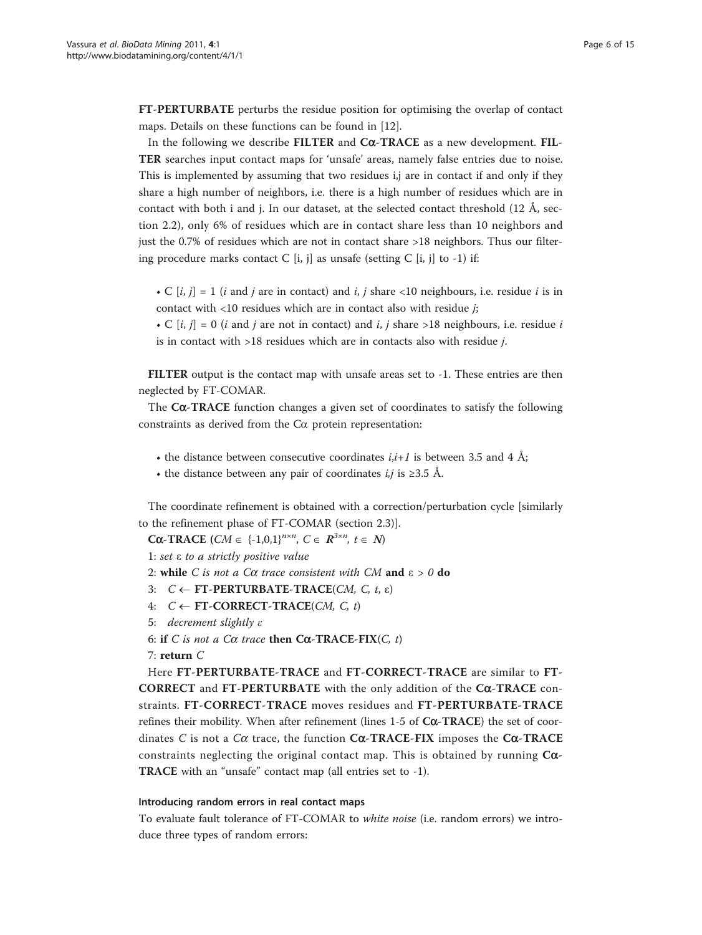FT-PERTURBATE perturbs the residue position for optimising the overlap of contact maps. Details on these functions can be found in [\[12\]](#page-13-0).

In the following we describe FILTER and  $C\alpha$ -TRACE as a new development. FIL-TER searches input contact maps for 'unsafe' areas, namely false entries due to noise. This is implemented by assuming that two residues i,j are in contact if and only if they share a high number of neighbors, i.e. there is a high number of residues which are in contact with both i and j. In our dataset, at the selected contact threshold (12 Å, section 2.2), only 6% of residues which are in contact share less than 10 neighbors and just the 0.7% of residues which are not in contact share >18 neighbors. Thus our filtering procedure marks contact C [i, j] as unsafe (setting C [i, j] to -1) if:

- C  $[i, j] = 1$  (*i* and *j* are in contact) and *i*, *j* share <10 neighbours, i.e. residue *i* is in contact with  $\langle 10 \rangle$  residues which are in contact also with residue *i*;
- C  $[i, j] = 0$  (i and j are not in contact) and i, j share >18 neighbours, i.e. residue i is in contact with >18 residues which are in contacts also with residue j.

FILTER output is the contact map with unsafe areas set to -1. These entries are then neglected by FT-COMAR.

The  $C\alpha$ -TRACE function changes a given set of coordinates to satisfy the following constraints as derived from the Ca protein representation:

- the distance between consecutive coordinates  $i, i+1$  is between 3.5 and 4 Å;
- the distance between any pair of coordinates  $i, j$  is  $\geq 3.5$  Å.

The coordinate refinement is obtained with a correction/perturbation cycle [similarly to the refinement phase of FT-COMAR (section 2.3)].

**Cα-TRACE** (*CM*  $\in$  {-1,0,1}<sup>n×n</sup>, *C*  $\in$  **R**<sup>3×n</sup>, *t*  $\in$  *N*)

1: set ε to a strictly positive value

2: while C is not a C $\alpha$  trace consistent with CM and  $\varepsilon > 0$  do

- 3:  $C \leftarrow \text{FT-PERTURBATE-TRACE}(CM, C, t, \varepsilon)$
- 4:  $C \leftarrow \text{FT-CORRECT-TRACE}(CM, C, t)$
- 5: decrement slightly ε
- 6: if C is not a C $\alpha$  trace then C $\alpha$ -TRACE-FIX(C, t)

7: return C

Here FT-PERTURBATE-TRACE and FT-CORRECT-TRACE are similar to FT-CORRECT and FT-PERTURBATE with the only addition of the C $\alpha$ -TRACE constraints. FT-CORRECT-TRACE moves residues and FT-PERTURBATE-TRACE refines their mobility. When after refinement (lines  $1-5$  of  $C\alpha$ -TRACE) the set of coordinates C is not a C $\alpha$  trace, the function C $\alpha$ -TRACE-FIX imposes the C $\alpha$ -TRACE constraints neglecting the original contact map. This is obtained by running  $C\alpha$ -TRACE with an "unsafe" contact map (all entries set to -1).

### Introducing random errors in real contact maps

To evaluate fault tolerance of FT-COMAR to white noise (i.e. random errors) we introduce three types of random errors: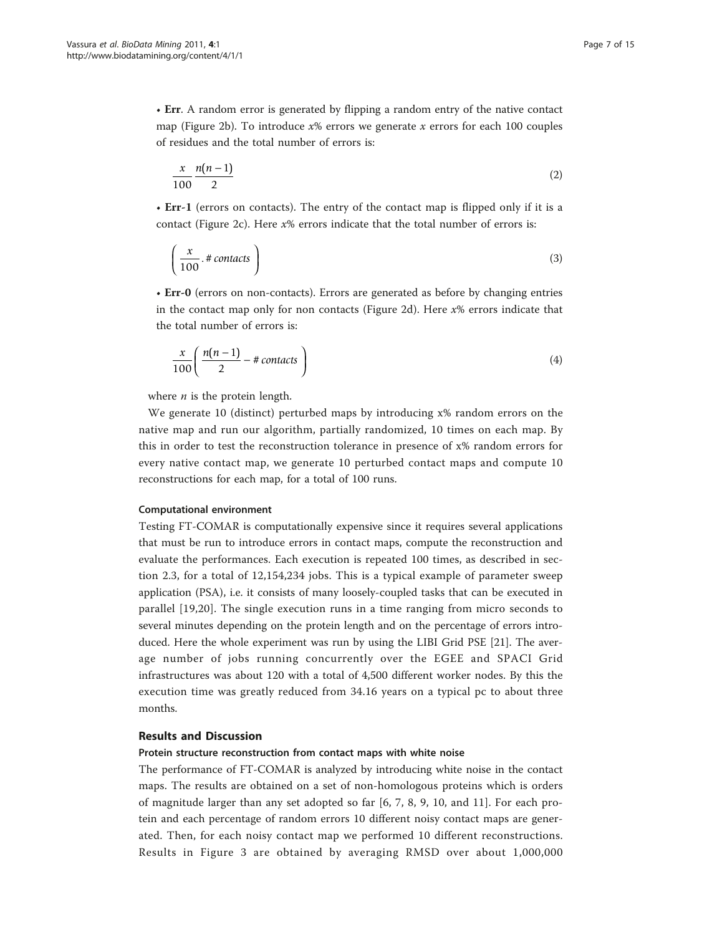• Err. A random error is generated by flipping a random entry of the native contact map (Figure [2b\)](#page-3-0). To introduce  $x\%$  errors we generate x errors for each 100 couples of residues and the total number of errors is:

$$
\frac{x}{100} \frac{n(n-1)}{2} \tag{2}
$$

• Err-1 (errors on contacts). The entry of the contact map is flipped only if it is a contact (Figure [2c\)](#page-3-0). Here  $x\%$  errors indicate that the total number of errors is:

$$
\left(\frac{x}{100} \cdot \# \text{ contacts}\right) \tag{3}
$$

• Err-0 (errors on non-contacts). Errors are generated as before by changing entries in the contact map only for non contacts (Figure [2d\)](#page-3-0). Here  $x\%$  errors indicate that the total number of errors is:

$$
\frac{x}{100} \left( \frac{n(n-1)}{2} - \text{\# contacts} \right) \tag{4}
$$

where  $n$  is the protein length.

We generate 10 (distinct) perturbed maps by introducing x% random errors on the native map and run our algorithm, partially randomized, 10 times on each map. By this in order to test the reconstruction tolerance in presence of x% random errors for every native contact map, we generate 10 perturbed contact maps and compute 10 reconstructions for each map, for a total of 100 runs.

#### Computational environment

Testing FT-COMAR is computationally expensive since it requires several applications that must be run to introduce errors in contact maps, compute the reconstruction and evaluate the performances. Each execution is repeated 100 times, as described in section 2.3, for a total of 12,154,234 jobs. This is a typical example of parameter sweep application (PSA), i.e. it consists of many loosely-coupled tasks that can be executed in parallel [[19,20](#page-14-0)]. The single execution runs in a time ranging from micro seconds to several minutes depending on the protein length and on the percentage of errors introduced. Here the whole experiment was run by using the LIBI Grid PSE [\[21\]](#page-14-0). The average number of jobs running concurrently over the EGEE and SPACI Grid infrastructures was about 120 with a total of 4,500 different worker nodes. By this the execution time was greatly reduced from 34.16 years on a typical pc to about three months.

# Results and Discussion

#### Protein structure reconstruction from contact maps with white noise

The performance of FT-COMAR is analyzed by introducing white noise in the contact maps. The results are obtained on a set of non-homologous proteins which is orders of magnitude larger than any set adopted so far [6, 7, 8, 9, 10, and 11]. For each protein and each percentage of random errors 10 different noisy contact maps are generated. Then, for each noisy contact map we performed 10 different reconstructions. Results in Figure [3](#page-7-0) are obtained by averaging RMSD over about 1,000,000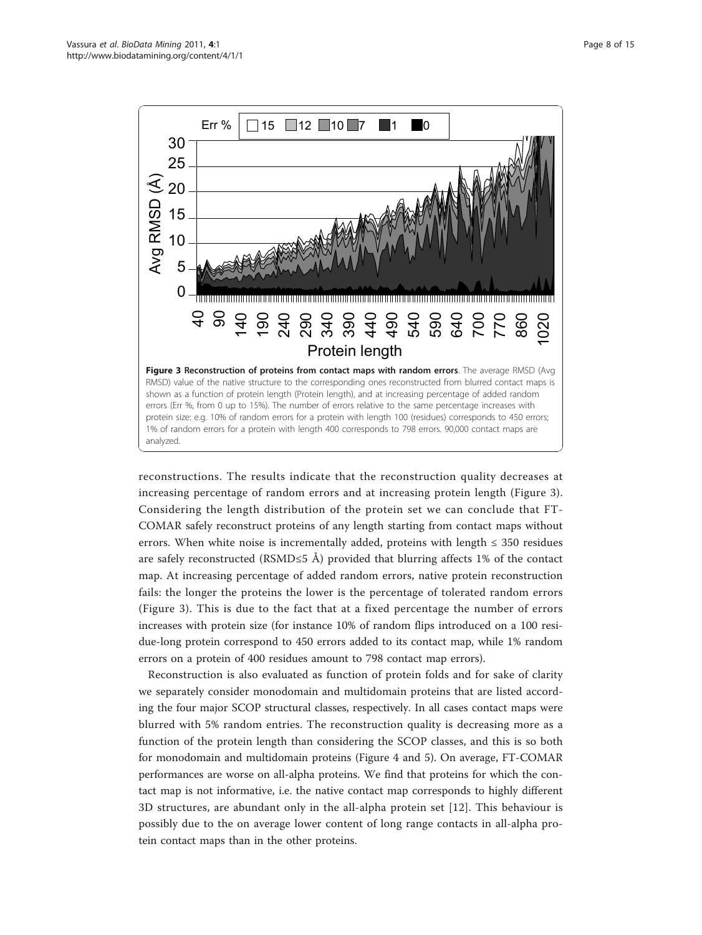<span id="page-7-0"></span>

reconstructions. The results indicate that the reconstruction quality decreases at increasing percentage of random errors and at increasing protein length (Figure 3). Considering the length distribution of the protein set we can conclude that FT-COMAR safely reconstruct proteins of any length starting from contact maps without errors. When white noise is incrementally added, proteins with length  $\leq$  350 residues are safely reconstructed (RSMD≤5 Å) provided that blurring affects 1% of the contact map. At increasing percentage of added random errors, native protein reconstruction fails: the longer the proteins the lower is the percentage of tolerated random errors (Figure 3). This is due to the fact that at a fixed percentage the number of errors increases with protein size (for instance 10% of random flips introduced on a 100 residue-long protein correspond to 450 errors added to its contact map, while 1% random errors on a protein of 400 residues amount to 798 contact map errors).

Reconstruction is also evaluated as function of protein folds and for sake of clarity we separately consider monodomain and multidomain proteins that are listed according the four major SCOP structural classes, respectively. In all cases contact maps were blurred with 5% random entries. The reconstruction quality is decreasing more as a function of the protein length than considering the SCOP classes, and this is so both for monodomain and multidomain proteins (Figure [4](#page-8-0) and [5](#page-8-0)). On average, FT-COMAR performances are worse on all-alpha proteins. We find that proteins for which the contact map is not informative, i.e. the native contact map corresponds to highly different 3D structures, are abundant only in the all-alpha protein set [\[12](#page-13-0)]. This behaviour is possibly due to the on average lower content of long range contacts in all-alpha protein contact maps than in the other proteins.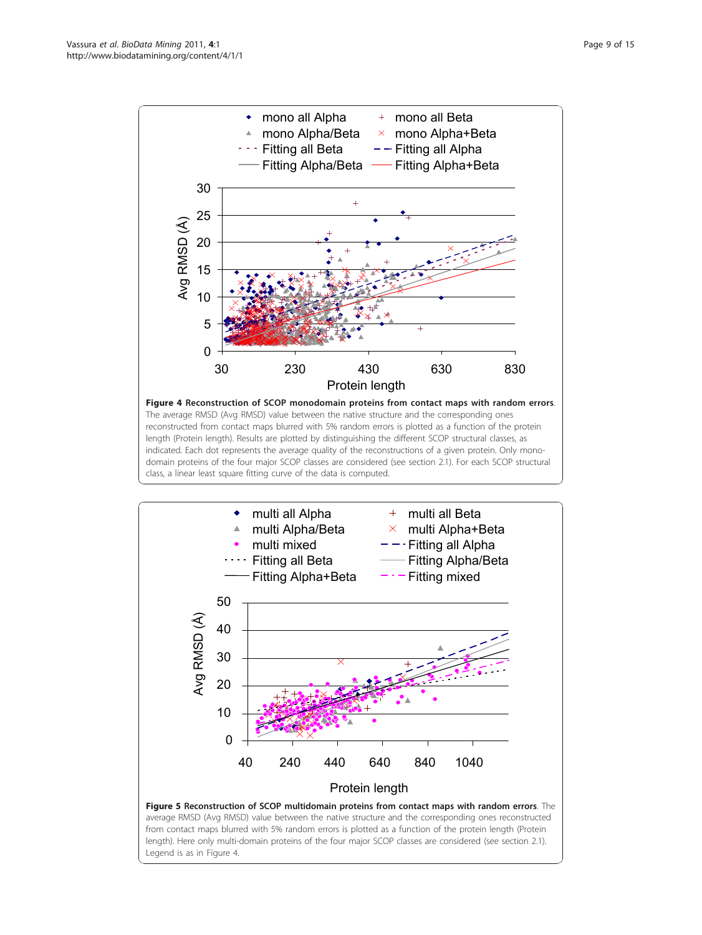<span id="page-8-0"></span>



from contact maps blurred with 5% random errors is plotted as a function of the protein length (Protein length). Here only multi-domain proteins of the four major SCOP classes are considered (see section 2.1). Legend is as in Figure 4.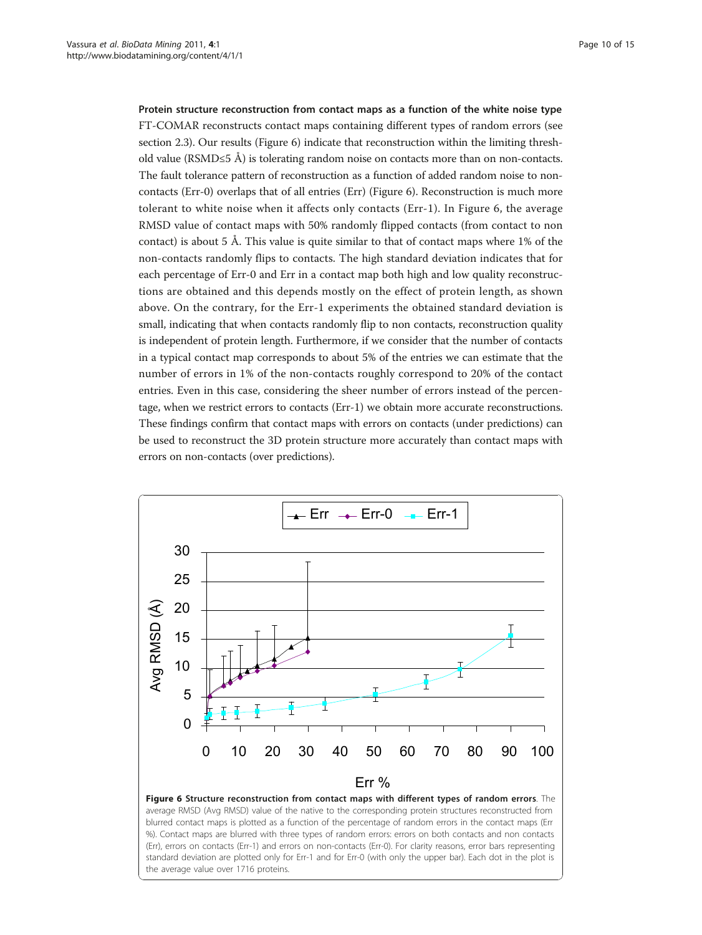Protein structure reconstruction from contact maps as a function of the white noise type

FT-COMAR reconstructs contact maps containing different types of random errors (see section 2.3). Our results (Figure 6) indicate that reconstruction within the limiting threshold value (RSMD≤5 Å) is tolerating random noise on contacts more than on non-contacts. The fault tolerance pattern of reconstruction as a function of added random noise to noncontacts (Err-0) overlaps that of all entries (Err) (Figure 6). Reconstruction is much more tolerant to white noise when it affects only contacts (Err-1). In Figure 6, the average RMSD value of contact maps with 50% randomly flipped contacts (from contact to non contact) is about 5 Å. This value is quite similar to that of contact maps where 1% of the non-contacts randomly flips to contacts. The high standard deviation indicates that for each percentage of Err-0 and Err in a contact map both high and low quality reconstructions are obtained and this depends mostly on the effect of protein length, as shown above. On the contrary, for the Err-1 experiments the obtained standard deviation is small, indicating that when contacts randomly flip to non contacts, reconstruction quality is independent of protein length. Furthermore, if we consider that the number of contacts in a typical contact map corresponds to about 5% of the entries we can estimate that the number of errors in 1% of the non-contacts roughly correspond to 20% of the contact entries. Even in this case, considering the sheer number of errors instead of the percentage, when we restrict errors to contacts (Err-1) we obtain more accurate reconstructions. These findings confirm that contact maps with errors on contacts (under predictions) can be used to reconstruct the 3D protein structure more accurately than contact maps with errors on non-contacts (over predictions).

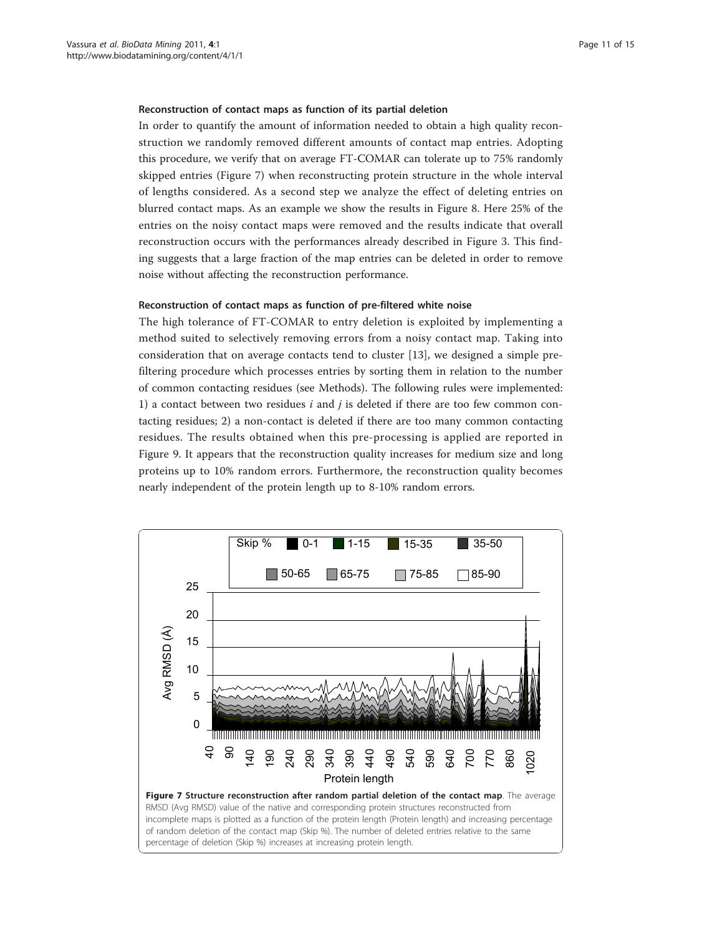#### Reconstruction of contact maps as function of its partial deletion

In order to quantify the amount of information needed to obtain a high quality reconstruction we randomly removed different amounts of contact map entries. Adopting this procedure, we verify that on average FT-COMAR can tolerate up to 75% randomly skipped entries (Figure 7) when reconstructing protein structure in the whole interval of lengths considered. As a second step we analyze the effect of deleting entries on blurred contact maps. As an example we show the results in Figure [8.](#page-11-0) Here 25% of the entries on the noisy contact maps were removed and the results indicate that overall reconstruction occurs with the performances already described in Figure [3](#page-7-0). This finding suggests that a large fraction of the map entries can be deleted in order to remove noise without affecting the reconstruction performance.

#### Reconstruction of contact maps as function of pre-filtered white noise

The high tolerance of FT-COMAR to entry deletion is exploited by implementing a method suited to selectively removing errors from a noisy contact map. Taking into consideration that on average contacts tend to cluster [[13\]](#page-14-0), we designed a simple prefiltering procedure which processes entries by sorting them in relation to the number of common contacting residues (see Methods). The following rules were implemented: 1) a contact between two residues  $i$  and  $j$  is deleted if there are too few common contacting residues; 2) a non-contact is deleted if there are too many common contacting residues. The results obtained when this pre-processing is applied are reported in Figure [9.](#page-11-0) It appears that the reconstruction quality increases for medium size and long proteins up to 10% random errors. Furthermore, the reconstruction quality becomes nearly independent of the protein length up to 8-10% random errors.

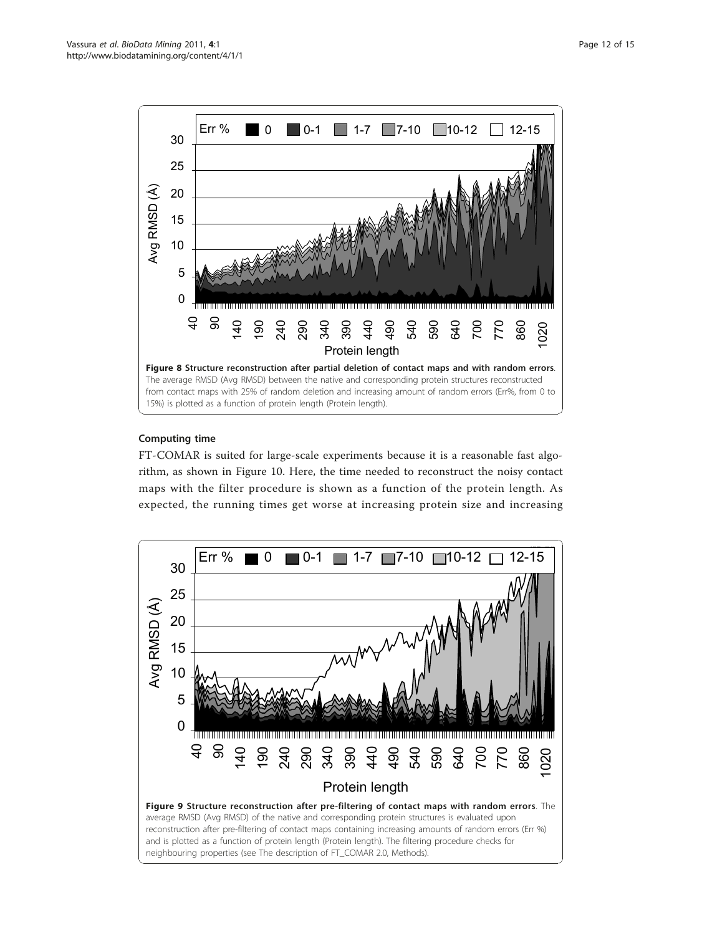<span id="page-11-0"></span>

# Computing time

FT-COMAR is suited for large-scale experiments because it is a reasonable fast algorithm, as shown in Figure [10.](#page-12-0) Here, the time needed to reconstruct the noisy contact maps with the filter procedure is shown as a function of the protein length. As expected, the running times get worse at increasing protein size and increasing

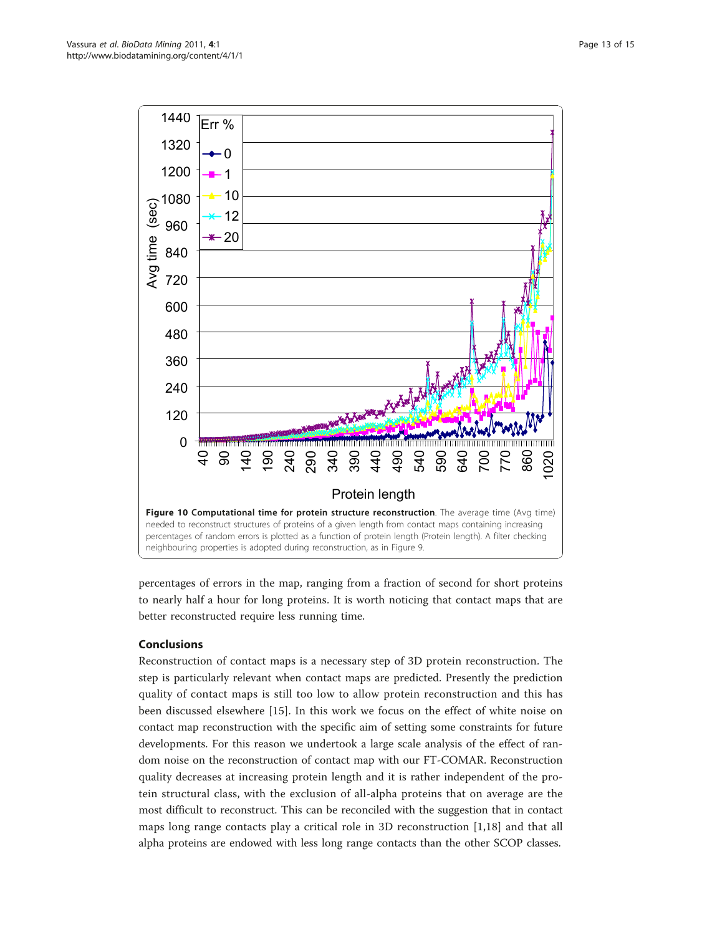<span id="page-12-0"></span>

percentages of errors in the map, ranging from a fraction of second for short proteins to nearly half a hour for long proteins. It is worth noticing that contact maps that are better reconstructed require less running time.

# Conclusions

Reconstruction of contact maps is a necessary step of 3D protein reconstruction. The step is particularly relevant when contact maps are predicted. Presently the prediction quality of contact maps is still too low to allow protein reconstruction and this has been discussed elsewhere [\[15\]](#page-14-0). In this work we focus on the effect of white noise on contact map reconstruction with the specific aim of setting some constraints for future developments. For this reason we undertook a large scale analysis of the effect of random noise on the reconstruction of contact map with our FT-COMAR. Reconstruction quality decreases at increasing protein length and it is rather independent of the protein structural class, with the exclusion of all-alpha proteins that on average are the most difficult to reconstruct. This can be reconciled with the suggestion that in contact maps long range contacts play a critical role in 3D reconstruction [[1](#page-13-0)[,18](#page-14-0)] and that all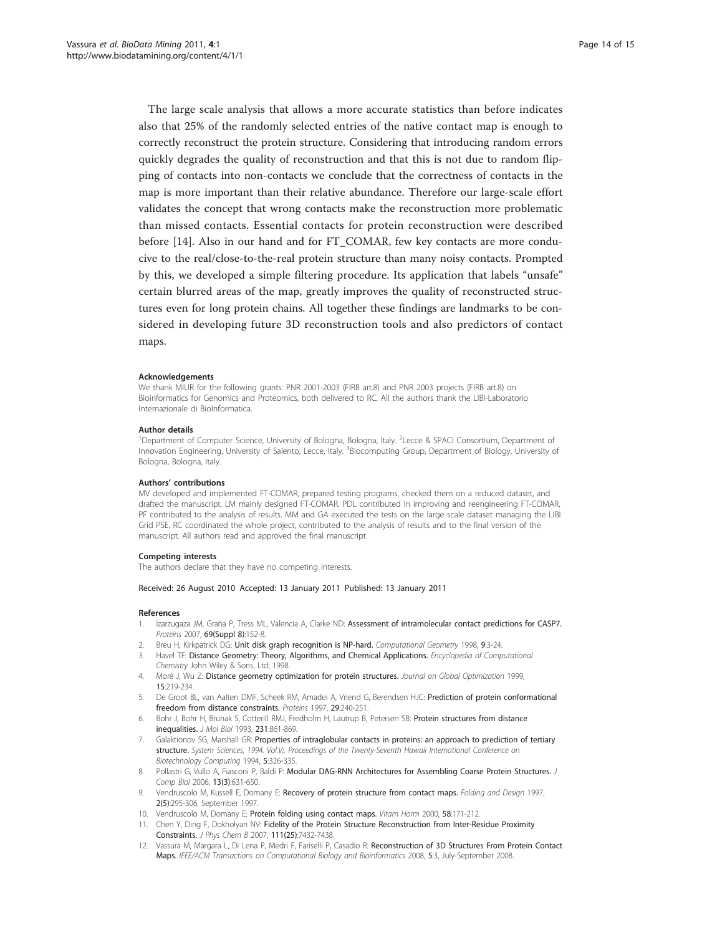<span id="page-13-0"></span>The large scale analysis that allows a more accurate statistics than before indicates also that 25% of the randomly selected entries of the native contact map is enough to correctly reconstruct the protein structure. Considering that introducing random errors quickly degrades the quality of reconstruction and that this is not due to random flipping of contacts into non-contacts we conclude that the correctness of contacts in the map is more important than their relative abundance. Therefore our large-scale effort validates the concept that wrong contacts make the reconstruction more problematic than missed contacts. Essential contacts for protein reconstruction were described before [[14\]](#page-14-0). Also in our hand and for FT\_COMAR, few key contacts are more conducive to the real/close-to-the-real protein structure than many noisy contacts. Prompted by this, we developed a simple filtering procedure. Its application that labels "unsafe" certain blurred areas of the map, greatly improves the quality of reconstructed structures even for long protein chains. All together these findings are landmarks to be considered in developing future 3D reconstruction tools and also predictors of contact maps.

#### Acknowledgements

We thank MIUR for the following grants: PNR 2001-2003 (FIRB art.8) and PNR 2003 projects (FIRB art.8) on Bioinformatics for Genomics and Proteomics, both delivered to RC. All the authors thank the LIBI-Laboratorio Internazionale di BioInformatica.

#### Author details

<sup>1</sup>Department of Computer Science, University of Bologna, Bologna, Italy. <sup>2</sup>Lecce & SPACI Consortium, Department of Innovation Engineering, University of Salento, Lecce, Italy. <sup>3</sup>Biocomputing Group, Department of Biology, University of Bologna, Bologna, Italy.

#### Authors' contributions

MV developed and implemented FT-COMAR, prepared testing programs, checked them on a reduced dataset, and drafted the manuscript. LM mainly designed FT-COMAR. PDL contributed in improving and reengineering FT-COMAR. PF contributed to the analysis of results. MM and GA executed the tests on the large scale dataset managing the LIBI Grid PSE. RC coordinated the whole project, contributed to the analysis of results and to the final version of the manuscript. All authors read and approved the final manuscript.

#### Competing interests

The authors declare that they have no competing interests.

#### Received: 26 August 2010 Accepted: 13 January 2011 Published: 13 January 2011

#### References

- 1. Izarzugaza JM, Graña P, Tress ML, Valencia A, Clarke ND: [Assessment of intramolecular contact predictions for CASP7.](http://www.ncbi.nlm.nih.gov/pubmed/17671976?dopt=Abstract) Proteins 2007, 69(Suppl 8):152-8.
- 2. Breu H, Kirkpatrick DG: Unit disk graph recognition is NP-hard. Computational Geometry 1998, 9:3-24.
- 3. Havel TF: Distance Geometry: Theory, Algorithms, and Chemical Applications. Encyclopedia of Computational Chemistry John Wiley & Sons, Ltd; 1998.
- 4. Moré J, Wu Z: Distance geometry optimization for protein structures. Journal on Global Optimization 1999, 15:219-234.
- 5. De Groot BL, van Aalten DMF, Scheek RM, Amadei A, Vriend G, Berendsen HJC: [Prediction of protein conformational](http://www.ncbi.nlm.nih.gov/pubmed/9329088?dopt=Abstract) [freedom from distance constraints.](http://www.ncbi.nlm.nih.gov/pubmed/9329088?dopt=Abstract) Proteins 1997, 29:240-251.
- 6. Bohr J, Bohr H, Brunak S, Cotterill RMJ, Fredholm H, Lautrup B, Petersen SB: [Protein structures from distance](http://www.ncbi.nlm.nih.gov/pubmed/7685827?dopt=Abstract) [inequalities.](http://www.ncbi.nlm.nih.gov/pubmed/7685827?dopt=Abstract) J Mol Biol 1993, 231:861-869.
- 7. Galaktionov SG, Marshall GR: Properties of intraglobular contacts in proteins: an approach to prediction of tertiary structure. System Sciences, 1994. Vol.V:, Proceedings of the Twenty-Seventh Hawaii International Conference on Biotechnology Computing 1994, 5:326-335.
- 8. Pollastri G, Vullo A, Fiasconi P, Baldi P: Modular DAG-RNN Architectures for Assembling Coarse Protein Structures. J Comp Biol 2006, 13(3):631-650.
- 9. Vendruscolo M, Kussell E, Domany E: [Recovery of protein structure from contact maps.](http://www.ncbi.nlm.nih.gov/pubmed/9377713?dopt=Abstract) Folding and Design 1997, 2(5):295-306, September 1997.
- 10. Vendruscolo M, Domany E: [Protein folding using contact maps.](http://www.ncbi.nlm.nih.gov/pubmed/10668399?dopt=Abstract) Vitam Horm 2000, 58:171-212.
- 11. Chen Y, Ding F, Dokholyan NV: [Fidelity of the Protein Structure Reconstruction from Inter-Residue Proximity](http://www.ncbi.nlm.nih.gov/pubmed/17542631?dopt=Abstract) [Constraints.](http://www.ncbi.nlm.nih.gov/pubmed/17542631?dopt=Abstract) J Phys Chem B 2007, 111(25):7432-7438.
- 12. Vassura M, Margara L, Di Lena P, Medri F, Fariselli P, Casadio R: Reconstruction of 3D Structures From Protein Contact Maps. IEEE/ACM Transactions on Computational Biology and Bioinformatics 2008, 5:3, July-September 2008.